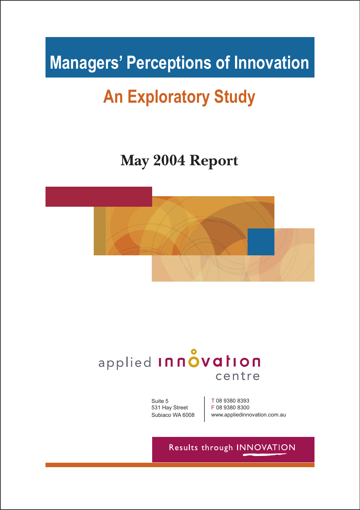# **Managers' Perceptions of Innovation**

# **An Exploratory Study**

### **May 2004 Report**



## applied Innovation centre

Suite 5 531 Hay Street Subiaco WA 6008 T 08 9380 8393 F 08 9380 8300 www.appliedinnovation.com.au

### Results through INNOVATION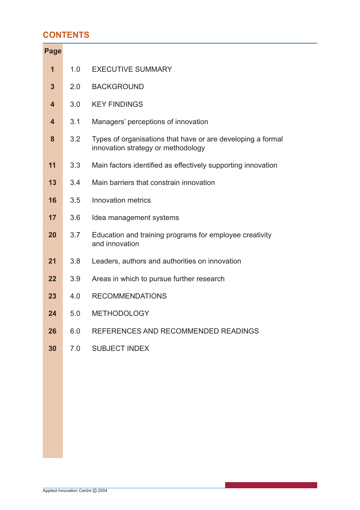#### **CONTENTS**

| <b>Page</b> |     |                                                                                                   |
|-------------|-----|---------------------------------------------------------------------------------------------------|
| $\mathbf 1$ | 1.0 | <b>EXECUTIVE SUMMARY</b>                                                                          |
| 3           | 2.0 | <b>BACKGROUND</b>                                                                                 |
| 4           | 3.0 | <b>KEY FINDINGS</b>                                                                               |
| 4           | 3.1 | Managers' perceptions of innovation                                                               |
| 8           | 3.2 | Types of organisations that have or are developing a formal<br>innovation strategy or methodology |
| 11          | 3.3 | Main factors identified as effectively supporting innovation                                      |
| 13          | 3.4 | Main barriers that constrain innovation                                                           |
| 16          | 3.5 | Innovation metrics                                                                                |
| 17          | 3.6 | Idea management systems                                                                           |
| 20          | 3.7 | Education and training programs for employee creativity<br>and innovation                         |
| 21          | 3.8 | Leaders, authors and authorities on innovation                                                    |
| 22          | 3.9 | Areas in which to pursue further research                                                         |
| 23          | 4.0 | <b>RECOMMENDATIONS</b>                                                                            |
| 24          | 5.0 | <b>METHODOLOGY</b>                                                                                |
| 26          | 6.0 | REFERENCES AND RECOMMENDED READINGS                                                               |
| 30          | 7.0 | <b>SUBJECT INDEX</b>                                                                              |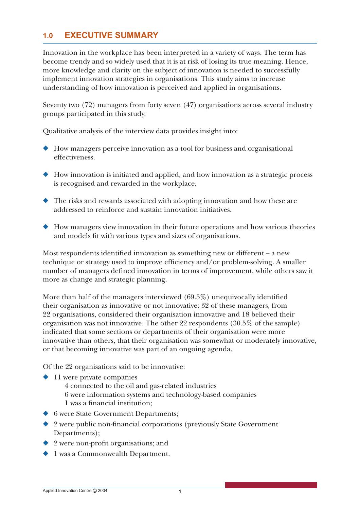#### **1.0 EXECUTIVE SUMMARY**

Innovation in the workplace has been interpreted in a variety of ways. The term has become trendy and so widely used that it is at risk of losing its true meaning. Hence, more knowledge and clarity on the subject of innovation is needed to successfully implement innovation strategies in organisations. This study aims to increase understanding of how innovation is perceived and applied in organisations.

Seventy two (72) managers from forty seven (47) organisations across several industry groups participated in this study.

Qualitative analysis of the interview data provides insight into:

- How managers perceive innovation as a tool for business and organisational effectiveness.
- How innovation is initiated and applied, and how innovation as a strategic process is recognised and rewarded in the workplace.
- ◆ The risks and rewards associated with adopting innovation and how these are addressed to reinforce and sustain innovation initiatives.
- ◆ How managers view innovation in their future operations and how various theories and models fit with various types and sizes of organisations.

Most respondents identified innovation as something new or different  $-$  a new technique or strategy used to improve efficiency and/or problem-solving. A smaller number of managers defined innovation in terms of improvement, while others saw it more as change and strategic planning.

More than half of the managers interviewed  $(69.5\%)$  unequivocally identified their organisation as innovative or not innovative: 32 of these managers, from 22 organisations, considered their organisation innovative and 18 believed their organisation was not innovative. The other 22 respondents (30.5% of the sample) indicated that some sections or departments of their organisation were more innovative than others, that their organisation was somewhat or moderately innovative, or that becoming innovative was part of an ongoing agenda.

Of the 22 organisations said to be innovative:

- 11 were private companies
	- 4 connected to the oil and gas-related industries
	- 6 were information systems and technology-based companies 1 was a financial institution;
- ◆ 6 were State Government Departments;
- $\blacklozenge$  2 were public non-financial corporations (previously State Government Departments);
- $\blacklozenge$  2 were non-profit organisations; and
- ◆ 1 was a Commonwealth Department.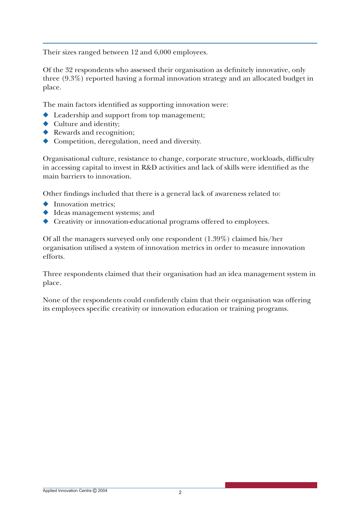Their sizes ranged between 12 and 6,000 employees.

Of the 32 respondents who assessed their organisation as definitely innovative, only three (9.3%) reported having a formal innovation strategy and an allocated budget in place.

The main factors identified as supporting innovation were:

- ◆ Leadership and support from top management;
- ◆ Culture and identity;
- ◆ Rewards and recognition;
- ◆ Competition, deregulation, need and diversity.

Organisational culture, resistance to change, corporate structure, workloads, difficulty in accessing capital to invest in R&D activities and lack of skills were identified as the main barriers to innovation.

Other findings included that there is a general lack of awareness related to:

- ◆ Innovation metrics;
- ◆ Ideas management systems; and
- ◆ Creativity or innovation-educational programs offered to employees.

Of all the managers surveyed only one respondent (1.39%) claimed his/her organisation utilised a system of innovation metrics in order to measure innovation efforts.

Three respondents claimed that their organisation had an idea management system in place.

None of the respondents could confidently claim that their organisation was offering its employees specific creativity or innovation education or training programs.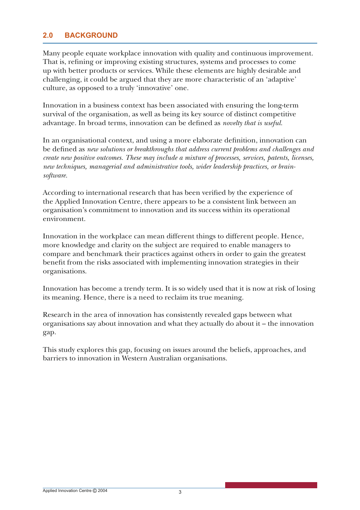#### **2.0 BACKGROUND**

Many people equate workplace innovation with quality and continuous improvement. That is, refining or improving existing structures, systems and processes to come up with better products or services. While these elements are highly desirable and challenging, it could be argued that they are more characteristic of an 'adaptive' culture, as opposed to a truly 'innovative' one.

Innovation in a business context has been associated with ensuring the long-term survival of the organisation, as well as being its key source of distinct competitive advantage. In broad terms, innovation can be defined as *novelty that is useful*.

In an organisational context, and using a more elaborate definition, innovation can be defined as *new solutions or breakthroughs that address current problems and challenges and create new positive outcomes. These may include a mixture of processes, services, patents, licenses, new techniques, managerial and administrative tools, wider leadership practices, or brainsoftware.*

According to international research that has been verified by the experience of the Applied Innovation Centre, there appears to be a consistent link between an organisation's commitment to innovation and its success within its operational environment.

Innovation in the workplace can mean different things to different people. Hence, more knowledge and clarity on the subject are required to enable managers to compare and benchmark their practices against others in order to gain the greatest benefit from the risks associated with implementing innovation strategies in their organisations.

Innovation has become a trendy term. It is so widely used that it is now at risk of losing its meaning. Hence, there is a need to reclaim its true meaning.

Research in the area of innovation has consistently revealed gaps between what organisations say about innovation and what they actually do about it – the innovation gap.

This study explores this gap, focusing on issues around the beliefs, approaches, and barriers to innovation in Western Australian organisations.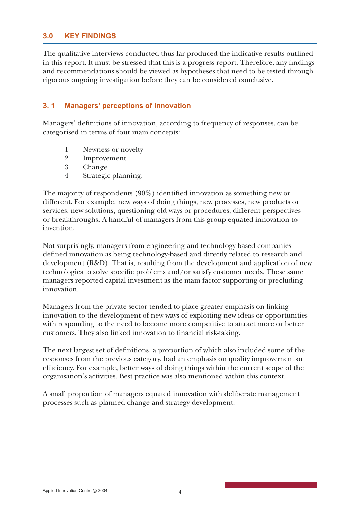#### **3.0 KEY FINDINGS**

The qualitative interviews conducted thus far produced the indicative results outlined in this report. It must be stressed that this is a progress report. Therefore, any findings and recommendations should be viewed as hypotheses that need to be tested through rigorous ongoing investigation before they can be considered conclusive.

#### **3. 1 Managers' perceptions of innovation**

Managers' definitions of innovation, according to frequency of responses, can be categorised in terms of four main concepts:

- 1 Newness or novelty
- 2 Improvement
- 3 Change
- 4 Strategic planning.

The majority of respondents  $(90\%)$  identified innovation as something new or different. For example, new ways of doing things, new processes, new products or services, new solutions, questioning old ways or procedures, different perspectives or breakthroughs. A handful of managers from this group equated innovation to invention.

Not surprisingly, managers from engineering and technology-based companies defined innovation as being technology-based and directly related to research and development (R&D). That is, resulting from the development and application of new technologies to solve specific problems and/or satisfy customer needs. These same managers reported capital investment as the main factor supporting or precluding innovation.

Managers from the private sector tended to place greater emphasis on linking innovation to the development of new ways of exploiting new ideas or opportunities with responding to the need to become more competitive to attract more or better customers. They also linked innovation to financial risk-taking.

The next largest set of definitions, a proportion of which also included some of the responses from the previous category, had an emphasis on quality improvement or efficiency. For example, better ways of doing things within the current scope of the organisation's activities. Best practice was also mentioned within this context.

A small proportion of managers equated innovation with deliberate management processes such as planned change and strategy development.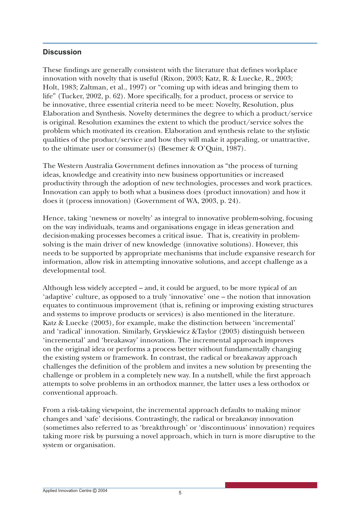#### **Discussion**

These findings are generally consistent with the literature that defines workplace innovation with novelty that is useful (Rixon, 2003; Katz, R. & Luecke, R., 2003; Holt, 1983; Zaltman, et al., 1997) or "coming up with ideas and bringing them to life" (Tucker, 2002, p. 62). More specifically, for a product, process or service to be innovative, three essential criteria need to be meet: Novelty, Resolution, plus Elaboration and Synthesis. Novelty determines the degree to which a product/service is original. Resolution examines the extent to which the product/service solves the problem which motivated its creation. Elaboration and synthesis relate to the stylistic qualities of the product/service and how they will make it appealing, or unattractive, to the ultimate user or consumer(s) (Besemer & O'Quin, 1987).

The Western Australia Government defines innovation as "the process of turning" ideas, knowledge and creativity into new business opportunities or increased productivity through the adoption of new technologies, processes and work practices. Innovation can apply to both what a business does (product innovation) and how it does it (process innovation) (Government of WA, 2003, p. 24).

Hence, taking 'newness or novelty' as integral to innovative problem-solving, focusing on the way individuals, teams and organisations engage in ideas generation and decision-making processes becomes a critical issue. That is, creativity in problemsolving is the main driver of new knowledge (innovative solutions). However, this needs to be supported by appropriate mechanisms that include expansive research for information, allow risk in attempting innovative solutions, and accept challenge as a developmental tool.

Although less widely accepted – and, it could be argued, to be more typical of an 'adaptive' culture, as opposed to a truly 'innovative' one – the notion that innovation equates to continuous improvement (that is, refining or improving existing structures and systems to improve products or services) is also mentioned in the literature. Katz & Luecke (2003), for example, make the distinction between 'incremental' and 'radical' innovation. Similarly, Gryskiewicz &Taylor (2003) distinguish between 'incremental' and 'breakaway' innovation. The incremental approach improves on the original idea or performs a process better without fundamentally changing the existing system or framework. In contrast, the radical or breakaway approach challenges the definition of the problem and invites a new solution by presenting the challenge or problem in a completely new way. In a nutshell, while the first approach attempts to solve problems in an orthodox manner, the latter uses a less orthodox or conventional approach.

From a risk-taking viewpoint, the incremental approach defaults to making minor changes and 'safe' decisions. Contrastingly, the radical or breakaway innovation (sometimes also referred to as 'breakthrough' or 'discontinuous' innovation) requires taking more risk by pursuing a novel approach, which in turn is more disruptive to the system or organisation.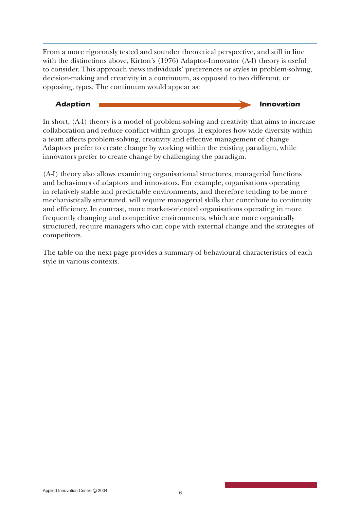From a more rigorously tested and sounder theoretical perspective, and still in line with the distinctions above, Kirton's (1976) Adaptor-Innovator (A-I) theory is useful to consider. This approach views individuals' preferences or styles in problem-solving, decision-making and creativity in a continuum, as opposed to two different, or opposing, types. The continuum would appear as:

#### **Adaption Innovation**

In short, (A-I) theory is a model of problem-solving and creativity that aims to increase collaboration and reduce conflict within groups. It explores how wide diversity within a team affects problem-solving, creativity and effective management of change. Adaptors prefer to create change by working within the existing paradigm, while innovators prefer to create change by challenging the paradigm.

(A-I) theory also allows examining organisational structures, managerial functions and behaviours of adaptors and innovators. For example, organisations operating in relatively stable and predictable environments, and therefore tending to be more mechanistically structured, will require managerial skills that contribute to continuity and efficiency. In contrast, more market-oriented organisations operating in more frequently changing and competitive environments, which are more organically structured, require managers who can cope with external change and the strategies of competitors.

The table on the next page provides a summary of behavioural characteristics of each style in various contexts.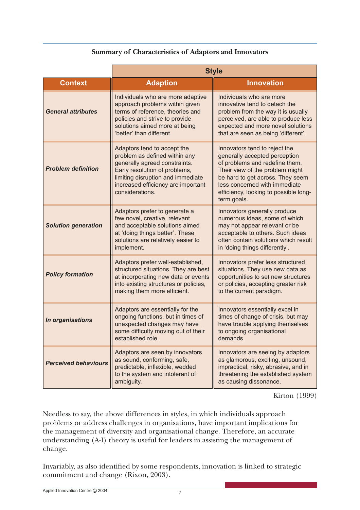#### **Summary of Characteristics of Adaptors and Innovators**

|                             | <b>Style</b>                                                                                                                                                                                                                 |                                                                                                                                                                                                                                                                  |  |
|-----------------------------|------------------------------------------------------------------------------------------------------------------------------------------------------------------------------------------------------------------------------|------------------------------------------------------------------------------------------------------------------------------------------------------------------------------------------------------------------------------------------------------------------|--|
| <b>Context</b>              | <b>Adaption</b>                                                                                                                                                                                                              | <b>Innovation</b>                                                                                                                                                                                                                                                |  |
| <b>General attributes</b>   | Individuals who are more adaptive<br>approach problems within given<br>terms of reference, theories and<br>policies and strive to provide<br>solutions aimed more at being<br>'better' than different.                       | Individuals who are more<br>innovative tend to detach the<br>problem from the way it is usually<br>perceived, are able to produce less<br>expected and more novel solutions<br>that are seen as being 'different'.                                               |  |
| <b>Problem definition</b>   | Adaptors tend to accept the<br>problem as defined within any<br>generally agreed constraints.<br>Early resolution of problems,<br>limiting disruption and immediate<br>increased efficiency are important<br>considerations. | Innovators tend to reject the<br>generally accepted perception<br>of problems and redefine them.<br>Their view of the problem might<br>be hard to get across. They seem<br>less concerned with immediate<br>efficiency, looking to possible long-<br>term goals. |  |
| <b>Solution generation</b>  | Adaptors prefer to generate a<br>few novel, creative, relevant<br>and acceptable solutions aimed<br>at 'doing things better'. These<br>solutions are relatively easier to<br>implement.                                      | Innovators generally produce<br>numerous ideas, some of which<br>may not appear relevant or be<br>acceptable to others. Such ideas<br>often contain solutions which result<br>in 'doing things differently'.                                                     |  |
| <b>Policy formation</b>     | Adaptors prefer well-established,<br>structured situations. They are best<br>at incorporating new data or events<br>into existing structures or policies,<br>making them more efficient.                                     | Innovators prefer less structured<br>situations. They use new data as<br>opportunities to set new structures<br>or policies, accepting greater risk<br>to the current paradigm.                                                                                  |  |
| In organisations            | Adaptors are essentially for the<br>ongoing functions, but in times of<br>unexpected changes may have<br>some difficulty moving out of their<br>established role.                                                            | Innovators essentially excel in<br>times of change of crisis, but may<br>have trouble applying themselves<br>to ongoing organisational<br>demands.                                                                                                               |  |
| <b>Perceived behaviours</b> | Adaptors are seen by innovators<br>as sound, conforming, safe,<br>predictable, inflexible, wedded<br>to the system and intolerant of<br>ambiguity.                                                                           | Innovators are seeing by adaptors<br>as glamorous, exciting, unsound,<br>impractical, risky, abrasive, and in<br>threatening the established system<br>as causing dissonance.                                                                                    |  |

Kirton (1999)

Needless to say, the above differences in styles, in which individuals approach problems or address challenges in organisations, have important implications for the management of diversity and organisational change. Therefore, an accurate understanding (A-I) theory is useful for leaders in assisting the management of change.

Invariably, as also identified by some respondents, innovation is linked to strategic commitment and change (Rixon, 2003).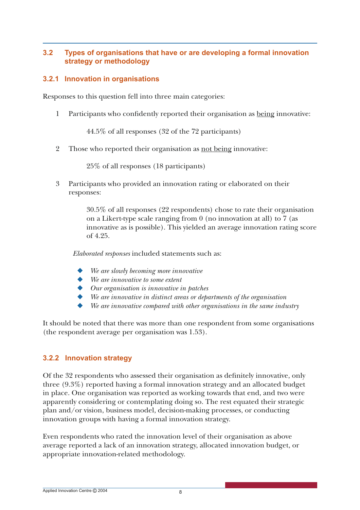#### **3.2 Types of organisations that have or are developing a formal innovation strategy or methodology**

#### **3.2.1 Innovation in organisations**

Responses to this question fell into three main categories:

1 Participants who confidently reported their organisation as being innovative:

44.5% of all responses (32 of the 72 participants)

2 Those who reported their organisation as not being innovative:

25% of all responses (18 participants)

3 Participants who provided an innovation rating or elaborated on their responses:

> 30.5% of all responses (22 respondents) chose to rate their organisation on a Likert-type scale ranging from 0 (no innovation at all) to 7 (as innovative as is possible). This yielded an average innovation rating score of 4.25.

*Elaborated responses* included statements such as:

- We are slowly becoming more *innovative*
- ◆ *We are innovative to some extent*
- ◆ *Our organisation is innovative in patches*
- We are innovative in distinct areas or departments of the organisation
- We are innovative compared with other organisations in the same industry

It should be noted that there was more than one respondent from some organisations (the respondent average per organisation was 1.53).

#### **3.2.2 Innovation strategy**

Of the 32 respondents who assessed their organisation as definitely innovative, only three (9.3%) reported having a formal innovation strategy and an allocated budget in place. One organisation was reported as working towards that end, and two were apparently considering or contemplating doing so. The rest equated their strategic plan and/or vision, business model, decision-making processes, or conducting innovation groups with having a formal innovation strategy.

Even respondents who rated the innovation level of their organisation as above average reported a lack of an innovation strategy, allocated innovation budget, or appropriate innovation-related methodology.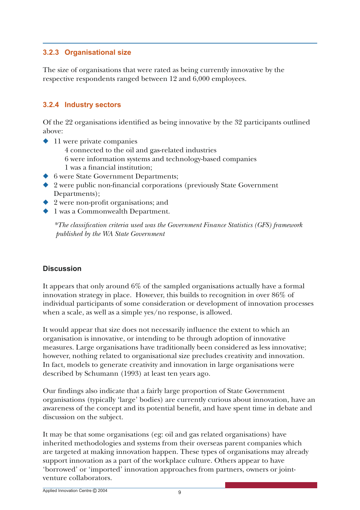#### **3.2.3 Organisational size**

The size of organisations that were rated as being currently innovative by the respective respondents ranged between 12 and 6,000 employees.

#### **3.2.4 Industry sectors**

Of the 22 organisations identified as being innovative by the 32 participants outlined above:

- ◆ 11 were private companies
	- 4 connected to the oil and gas-related industries
	- 6 were information systems and technology-based companies
	- 1 was a financial institution;
- ◆ 6 were State Government Departments;
- $\blacklozenge$  2 were public non-financial corporations (previously State Government Departments);
- $\triangle$  2 were non-profit organisations; and
- ◆ 1 was a Commonwealth Department.

*\*The classifi cation criteria used was the Government Finance Statistics (GFS) framework published by the WA State Government* 

#### **Discussion**

It appears that only around 6% of the sampled organisations actually have a formal innovation strategy in place. However, this builds to recognition in over 86% of individual participants of some consideration or development of innovation processes when a scale, as well as a simple yes/no response, is allowed.

It would appear that size does not necessarily influence the extent to which an organisation is innovative, or intending to be through adoption of innovative measures. Large organisations have traditionally been considered as less innovative; however, nothing related to organisational size precludes creativity and innovation. In fact, models to generate creativity and innovation in large organisations were described by Schumann (1993) at least ten years ago.

Our findings also indicate that a fairly large proportion of State Government organisations (typically 'large' bodies) are currently curious about innovation, have an awareness of the concept and its potential benefit, and have spent time in debate and discussion on the subject.

It may be that some organisations (eg: oil and gas related organisations) have inherited methodologies and systems from their overseas parent companies which are targeted at making innovation happen. These types of organisations may already support innovation as a part of the workplace culture. Others appear to have 'borrowed' or 'imported' innovation approaches from partners, owners or jointventure collaborators.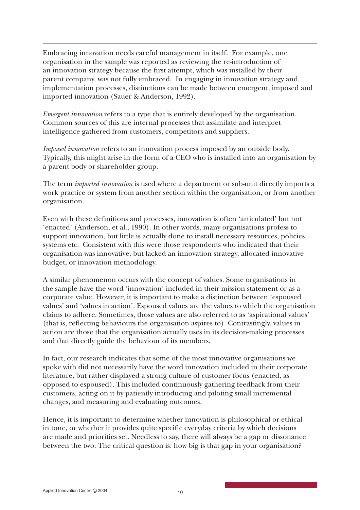Embracing innovation needs careful management in itself. For example, one organisation in the sample was reported as reviewing the re-introduction of an innovation strategy because the first attempt, which was installed by their parent company, was not fully embraced. In engaging in innovation strategy and implementation processes, distinctions can be made between emergent, imposed and imported innovation (Sauer & Anderson, 1992).

*Emergent innovation* refers to a type that is entirely developed by the organisation. Common sources of this are internal processes that assimilate and interpret intelligence gathered from customers, competitors and suppliers.

*Imposed innovation* refers to an innovation process imposed by an outside body. Typically, this might arise in the form of a CEO who is installed into an organisation by a parent body or shareholder group.

The term *imported innovation* is used where a department or sub-unit directly imports a work practice or system from another section within the organisation, or from another organisation.

Even with these definitions and processes, innovation is often 'articulated' but not 'enacted' (Anderson, et al., 1990). In other words, many organisations profess to support innovation, but little is actually done to install necessary resources, policies, systems etc. Consistent with this were those respondents who indicated that their organisation was innovative, but lacked an innovation strategy, allocated innovative budget, or innovation methodology.

A similar phenomenon occurs with the concept of values. Some organisations in the sample have the word 'innovation' included in their mission statement or as a corporate value. However, it is important to make a distinction between 'espoused values' and 'values in action'. Espoused values are the values to which the organisation claims to adhere. Sometimes, those values are also referred to as 'aspirational values' (that is, reflecting behaviours the organisation aspires to). Contrastingly, values in action are those that the organisation actually uses in its decision-making processes and that directly guide the behaviour of its members.

In fact, our research indicates that some of the most innovative organisations we spoke with did not necessarily have the word innovation included in their corporate literature, but rather displayed a strong culture of customer focus (enacted, as opposed to espoused). This included continuously gathering feedback from their customers, acting on it by patiently introducing and piloting small incremental changes, and measuring and evaluating outcomes.

Hence, it is important to determine whether innovation is philosophical or ethical in tone, or whether it provides quite specific everyday criteria by which decisions are made and priorities set. Needless to say, there will always be a gap or dissonance between the two. The critical question is: how big is that gap in your organisation?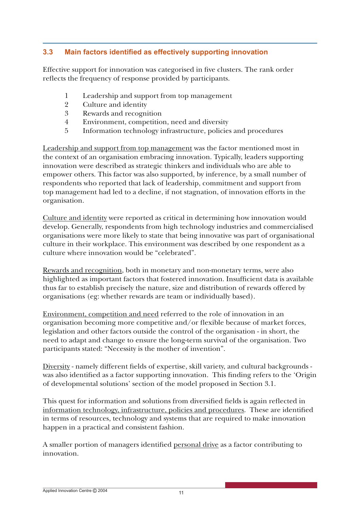#### **3.3** Main factors identified as effectively supporting innovation

Effective support for innovation was categorised in five clusters. The rank order reflects the frequency of response provided by participants.

- 1 Leadership and support from top management
- 2 Culture and identity
- 3 Rewards and recognition
- 4 Environment, competition, need and diversity
- 5 Information technology infrastructure, policies and procedures

Leadership and support from top management was the factor mentioned most in the context of an organisation embracing innovation. Typically, leaders supporting innovation were described as strategic thinkers and individuals who are able to empower others. This factor was also supported, by inference, by a small number of respondents who reported that lack of leadership, commitment and support from top management had led to a decline, if not stagnation, of innovation efforts in the organisation.

Culture and identity were reported as critical in determining how innovation would develop. Generally, respondents from high technology industries and commercialised organisations were more likely to state that being innovative was part of organisational culture in their workplace. This environment was described by one respondent as a culture where innovation would be "celebrated".

Rewards and recognition, both in monetary and non-monetary terms, were also highlighted as important factors that fostered innovation. Insufficient data is available thus far to establish precisely the nature, size and distribution of rewards offered by organisations (eg: whether rewards are team or individually based).

Environment, competition and need referred to the role of innovation in an organisation becoming more competitive and/or flexible because of market forces, legislation and other factors outside the control of the organisation - in short, the need to adapt and change to ensure the long-term survival of the organisation. Two participants stated: "Necessity is the mother of invention".

Diversity - namely different fields of expertise, skill variety, and cultural backgrounds was also identified as a factor supporting innovation. This finding refers to the 'Origin of developmental solutions' section of the model proposed in Section 3.1.

This quest for information and solutions from diversified fields is again reflected in information technology, infrastructure, policies and procedures. These are identified in terms of resources, technology and systems that are required to make innovation happen in a practical and consistent fashion.

A smaller portion of managers identified personal drive as a factor contributing to innovation.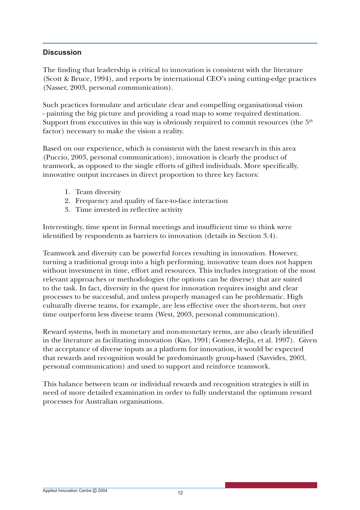#### **Discussion**

The finding that leadership is critical to innovation is consistent with the literature (Scott & Bruce, 1994), and reports by international CEO's using cutting-edge practices (Nasser, 2003, personal communication).

Such practices formulate and articulate clear and compelling organisational vision - painting the big picture and providing a road map to some required destination. Support from executives in this way is obviously required to commit resources (the  $5<sup>th</sup>$ factor) necessary to make the vision a reality.

Based on our experience, which is consistent with the latest research in this area (Puccio, 2003, personal communication), innovation is clearly the product of teamwork, as opposed to the single efforts of gifted individuals. More specifically, innovative output increases in direct proportion to three key factors:

- 1. Team diversity
- 2. Frequency and quality of face-to-face interaction
- 3. Time invested in reflective activity

Interestingly, time spent in formal meetings and insufficient time to think were identified by respondents as barriers to innovation (details in Section 3.4).

Teamwork and diversity can be powerful forces resulting in innovation. However, turning a traditional group into a high performing, innovative team does not happen without investment in time, effort and resources. This includes integration of the most relevant approaches or methodologies (the options can be diverse) that are suited to the task. In fact, diversity in the quest for innovation requires insight and clear processes to be successful, and unless properly managed can be problematic. High culturally diverse teams, for example, are less effective over the short-term, but over time outperform less diverse teams (West, 2003, personal communication).

Reward systems, both in monetary and non-monetary terms, are also clearly identified in the literature as facilitating innovation (Kao, 1991; Gomez-Mejla, et al. 1997). Given the acceptance of diverse inputs as a platform for innovation, it would be expected that rewards and recognition would be predominantly group-based (Savvides, 2003, personal communication) and used to support and reinforce teamwork.

This balance between team or individual rewards and recognition strategies is still in need of more detailed examination in order to fully understand the optimum reward processes for Australian organisations.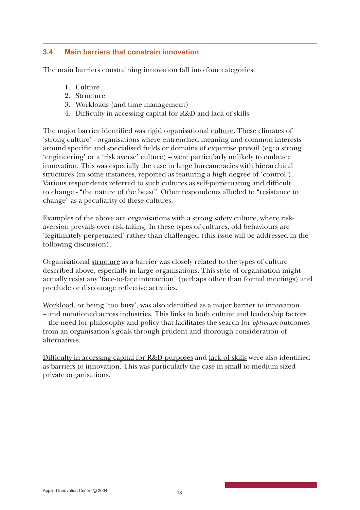#### **3.4 Main barriers that constrain innovation**

The main barriers constraining innovation fall into four categories:

- 1. Culture
- 2. Structure
- 3. Workloads (and time management)
- 4. Difficulty in accessing capital for R&D and lack of skills

The major barrier identified was rigid organisational culture. These climates of 'strong culture' - organisations where entrenched meaning and common interests around specific and specialised fields or domains of expertise prevail (eg: a strong 'engineering' or a 'risk averse' culture) – were particularly unlikely to embrace innovation. This was especially the case in large bureaucracies with hierarchical structures (in some instances, reported as featuring a high degree of 'control'). Various respondents referred to such cultures as self-perpetuating and difficult to change - "the nature of the beast". Other respondents alluded to "resistance to change" as a peculiarity of these cultures.

Examples of the above are organisations with a strong safety culture, where riskaversion prevails over risk-taking. In these types of cultures, old behaviours are 'legitimately perpetuated' rather than challenged (this issue will be addressed in the following discussion).

Organisational structure as a barrier was closely related to the types of culture described above, especially in large organisations. This style of organisation might actually resist any 'face-to-face interaction' (perhaps other than formal meetings) and preclude or discourage reflective activities.

Workload, or being 'too busy', was also identified as a major barrier to innovation – and mentioned across industries. This links to both culture and leadership factors – the need for philosophy and policy that facilitates the search for *optimum* outcomes from an organisation's goals through prudent and thorough consideration of alternatives.

Difficulty in accessing capital for  $R&D$  purposes and lack of skills were also identified as barriers to innovation. This was particularly the case in small to medium sized private organisations.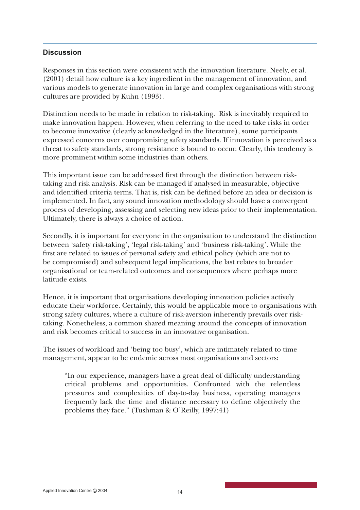#### **Discussion**

Responses in this section were consistent with the innovation literature. Neely, et al. (2001) detail how culture is a key ingredient in the management of innovation, and various models to generate innovation in large and complex organisations with strong cultures are provided by Kuhn (1993).

Distinction needs to be made in relation to risk-taking. Risk is inevitably required to make innovation happen. However, when referring to the need to take risks in order to become innovative (clearly acknowledged in the literature), some participants expressed concerns over compromising safety standards. If innovation is perceived as a threat to safety standards, strong resistance is bound to occur. Clearly, this tendency is more prominent within some industries than others.

This important issue can be addressed first through the distinction between risktaking and risk analysis. Risk can be managed if analysed in measurable, objective and identified criteria terms. That is, risk can be defined before an idea or decision is implemented. In fact, any sound innovation methodology should have a convergent process of developing, assessing and selecting new ideas prior to their implementation. Ultimately, there is always a choice of action.

Secondly, it is important for everyone in the organisation to understand the distinction between 'safety risk-taking', 'legal risk-taking' and 'business risk-taking'. While the first are related to issues of personal safety and ethical policy (which are not to be compromised) and subsequent legal implications, the last relates to broader organisational or team-related outcomes and consequences where perhaps more latitude exists.

Hence, it is important that organisations developing innovation policies actively educate their workforce. Certainly, this would be applicable more to organisations with strong safety cultures, where a culture of risk-aversion inherently prevails over risktaking. Nonetheless, a common shared meaning around the concepts of innovation and risk becomes critical to success in an innovative organisation.

The issues of workload and 'being too busy', which are intimately related to time management, appear to be endemic across most organisations and sectors:

"In our experience, managers have a great deal of difficulty understanding critical problems and opportunities. Confronted with the relentless pressures and complexities of day-to-day business, operating managers frequently lack the time and distance necessary to define objectively the problems they face." (Tushman & O'Reilly, 1997:41)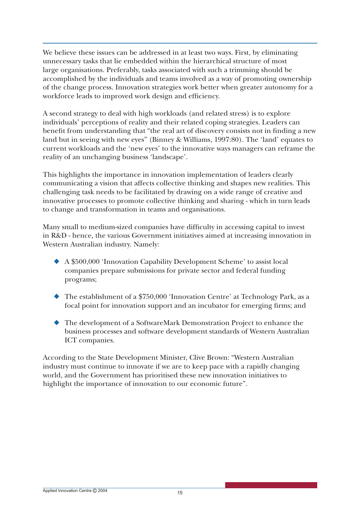We believe these issues can be addressed in at least two ways. First, by eliminating unnecessary tasks that lie embedded within the hierarchical structure of most large organisations. Preferably, tasks associated with such a trimming should be accomplished by the individuals and teams involved as a way of promoting ownership of the change process. Innovation strategies work better when greater autonomy for a workforce leads to improved work design and efficiency.

A second strategy to deal with high workloads (and related stress) is to explore individuals' perceptions of reality and their related coping strategies. Leaders can benefit from understanding that "the real art of discovery consists not in finding a new land but in seeing with new eyes" (Binney & Williams, 1997:80). The 'land' equates to current workloads and the 'new eyes' to the innovative ways managers can reframe the reality of an unchanging business 'landscape'.

This highlights the importance in innovation implementation of leaders clearly communicating a vision that affects collective thinking and shapes new realities. This challenging task needs to be facilitated by drawing on a wide range of creative and innovative processes to promote collective thinking and sharing - which in turn leads to change and transformation in teams and organisations.

Many small to medium-sized companies have difficulty in accessing capital to invest in R&D - hence, the various Government initiatives aimed at increasing innovation in Western Australian industry. Namely:

- ◆ A \$500,000 'Innovation Capability Development Scheme' to assist local companies prepare submissions for private sector and federal funding programs;
- ◆ The establishment of a \$750,000 'Innovation Centre' at Technology Park, as a focal point for innovation support and an incubator for emerging firms; and
- ◆ The development of a SoftwareMark Demonstration Project to enhance the business processes and software development standards of Western Australian ICT companies.

According to the State Development Minister, Clive Brown: "Western Australian industry must continue to innovate if we are to keep pace with a rapidly changing world, and the Government has prioritised these new innovation initiatives to highlight the importance of innovation to our economic future".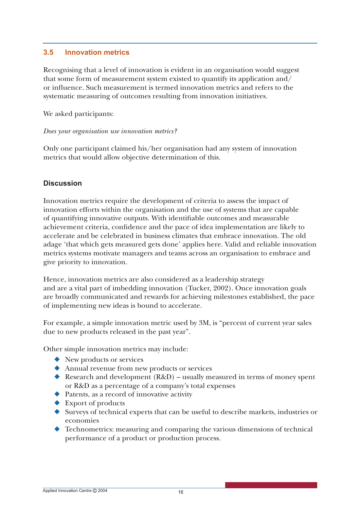#### **3.5 Innovation metrics**

Recognising that a level of innovation is evident in an organisation would suggest that some form of measurement system existed to quantify its application and/ or influence. Such measurement is termed innovation metrics and refers to the systematic measuring of outcomes resulting from innovation initiatives.

We asked participants:

#### *Does your organisation use innovation metrics?*

Only one participant claimed his/her organisation had any system of innovation metrics that would allow objective determination of this.

#### **Discussion**

Innovation metrics require the development of criteria to assess the impact of innovation efforts within the organisation and the use of systems that are capable of quantifying innovative outputs. With identifiable outcomes and measurable achievement criteria, confidence and the pace of idea implementation are likely to accelerate and be celebrated in business climates that embrace innovation. The old adage 'that which gets measured gets done' applies here. Valid and reliable innovation metrics systems motivate managers and teams across an organisation to embrace and give priority to innovation.

Hence, innovation metrics are also considered as a leadership strategy and are a vital part of imbedding innovation (Tucker, 2002). Once innovation goals are broadly communicated and rewards for achieving milestones established, the pace of implementing new ideas is bound to accelerate.

For example, a simple innovation metric used by 3M, is "percent of current year sales due to new products released in the past year".

Other simple innovation metrics may include:

- ◆ New products or services
- ◆ Annual revenue from new products or services
- ◆ Research and development (R&D) usually measured in terms of money spent or R&D as a percentage of a company's total expenses
- ◆ Patents, as a record of innovative activity
- ◆ Export of products
- ◆ Surveys of technical experts that can be useful to describe markets, industries or economies
- $\blacklozenge$  Technometrics: measuring and comparing the various dimensions of technical performance of a product or production process.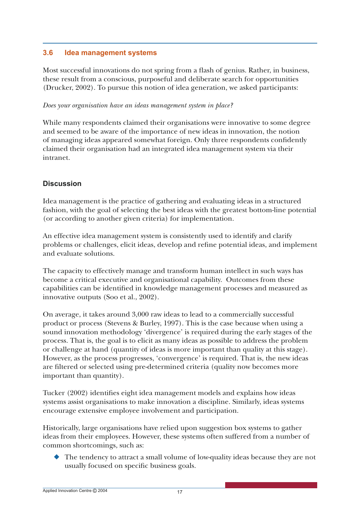#### **3.6 Idea management systems**

Most successful innovations do not spring from a flash of genius. Rather, in business, these result from a conscious, purposeful and deliberate search for opportunities (Drucker, 2002). To pursue this notion of idea generation, we asked participants:

#### *Does your organisation have an ideas management system in place?*

While many respondents claimed their organisations were innovative to some degree and seemed to be aware of the importance of new ideas in innovation, the notion of managing ideas appeared somewhat foreign. Only three respondents confidently claimed their organisation had an integrated idea management system via their intranet.

#### **Discussion**

Idea management is the practice of gathering and evaluating ideas in a structured fashion, with the goal of selecting the best ideas with the greatest bottom-line potential (or according to another given criteria) for implementation.

An effective idea management system is consistently used to identify and clarify problems or challenges, elicit ideas, develop and refine potential ideas, and implement and evaluate solutions.

The capacity to effectively manage and transform human intellect in such ways has become a critical executive and organisational capability. Outcomes from these capabilities can be identified in knowledge management processes and measured as innovative outputs (Soo et al., 2002).

On average, it takes around 3,000 raw ideas to lead to a commercially successful product or process (Stevens & Burley, 1997). This is the case because when using a sound innovation methodology 'divergence' is required during the early stages of the process. That is, the goal is to elicit as many ideas as possible to address the problem or challenge at hand (quantity of ideas is more important than quality at this stage). However, as the process progresses, 'convergence' is required. That is, the new ideas are filtered or selected using pre-determined criteria (quality now becomes more important than quantity).

Tucker (2002) identifies eight idea management models and explains how ideas systems assist organisations to make innovation a discipline. Similarly, ideas systems encourage extensive employee involvement and participation.

Historically, large organisations have relied upon suggestion box systems to gather ideas from their employees. However, these systems often suffered from a number of common shortcomings, such as:

The tendency to attract a small volume of low-quality ideas because they are not usually focused on specific business goals.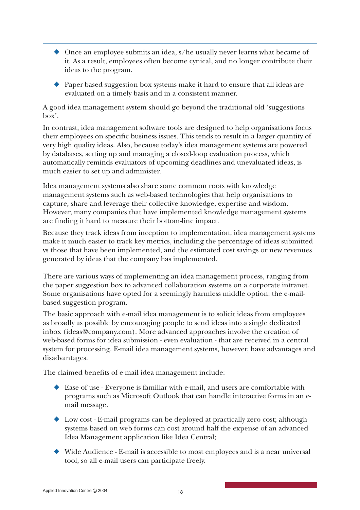- ◆ Once an employee submits an idea, s/he usually never learns what became of it. As a result, employees often become cynical, and no longer contribute their ideas to the program.
- ◆ Paper-based suggestion box systems make it hard to ensure that all ideas are evaluated on a timely basis and in a consistent manner.

A good idea management system should go beyond the traditional old 'suggestions box'.

In contrast, idea management software tools are designed to help organisations focus their employees on specific business issues. This tends to result in a larger quantity of very high quality ideas. Also, because today's idea management systems are powered by databases, setting up and managing a closed-loop evaluation process, which automatically reminds evaluators of upcoming deadlines and unevaluated ideas, is much easier to set up and administer.

Idea management systems also share some common roots with knowledge management systems such as web-based technologies that help organisations to capture, share and leverage their collective knowledge, expertise and wisdom. However, many companies that have implemented knowledge management systems are finding it hard to measure their bottom-line impact.

Because they track ideas from inception to implementation, idea management systems make it much easier to track key metrics, including the percentage of ideas submitted vs those that have been implemented, and the estimated cost savings or new revenues generated by ideas that the company has implemented.

There are various ways of implementing an idea management process, ranging from the paper suggestion box to advanced collaboration systems on a corporate intranet. Some organisations have opted for a seemingly harmless middle option: the e-mailbased suggestion program.

The basic approach with e-mail idea management is to solicit ideas from employees as broadly as possible by encouraging people to send ideas into a single dedicated inbox (ideas@company.com). More advanced approaches involve the creation of web-based forms for idea submission - even evaluation - that are received in a central system for processing. E-mail idea management systems, however, have advantages and disadvantages.

The claimed benefits of e-mail idea management include:

- ◆ Ease of use Everyone is familiar with e-mail, and users are comfortable with programs such as Microsoft Outlook that can handle interactive forms in an email message.
- ◆ Low cost E-mail programs can be deployed at practically zero cost; although systems based on web forms can cost around half the expense of an advanced Idea Management application like Idea Central;
- ◆ Wide Audience E-mail is accessible to most employees and is a near universal tool, so all e-mail users can participate freely.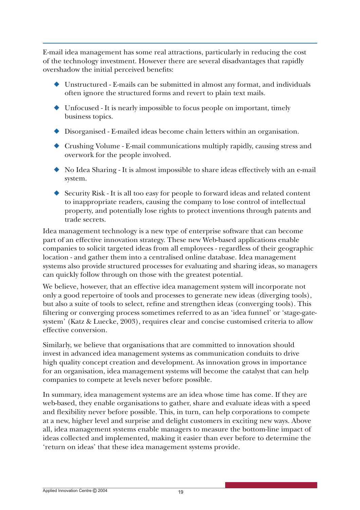E-mail idea management has some real attractions, particularly in reducing the cost of the technology investment. However there are several disadvantages that rapidly overshadow the initial perceived benefits:

- ◆ Unstructured E-mails can be submitted in almost any format, and individuals often ignore the structured forms and revert to plain text mails.
- ◆ Unfocused It is nearly impossible to focus people on important, timely business topics.
- ◆ Disorganised E-mailed ideas become chain letters within an organisation.
- ◆ Crushing Volume E-mail communications multiply rapidly, causing stress and overwork for the people involved.
- ◆ No Idea Sharing It is almost impossible to share ideas effectively with an e-mail system.
- ◆ Security Risk It is all too easy for people to forward ideas and related content to inappropriate readers, causing the company to lose control of intellectual property, and potentially lose rights to protect inventions through patents and trade secrets.

Idea management technology is a new type of enterprise software that can become part of an effective innovation strategy. These new Web-based applications enable companies to solicit targeted ideas from all employees - regardless of their geographic location - and gather them into a centralised online database. Idea management systems also provide structured processes for evaluating and sharing ideas, so managers can quickly follow through on those with the greatest potential.

We believe, however, that an effective idea management system will incorporate not only a good repertoire of tools and processes to generate new ideas (diverging tools), but also a suite of tools to select, refine and strengthen ideas (converging tools). This filtering or converging process sometimes referred to as an 'idea funnel' or 'stage-gatesystem' (Katz & Luecke, 2003), requires clear and concise customised criteria to allow effective conversion.

Similarly, we believe that organisations that are committed to innovation should invest in advanced idea management systems as communication conduits to drive high quality concept creation and development. As innovation grows in importance for an organisation, idea management systems will become the catalyst that can help companies to compete at levels never before possible.

In summary, idea management systems are an idea whose time has come. If they are web-based, they enable organisations to gather, share and evaluate ideas with a speed and fl exibility never before possible. This, in turn, can help corporations to compete at a new, higher level and surprise and delight customers in exciting new ways. Above all, idea management systems enable managers to measure the bottom-line impact of ideas collected and implemented, making it easier than ever before to determine the 'return on ideas' that these idea management systems provide.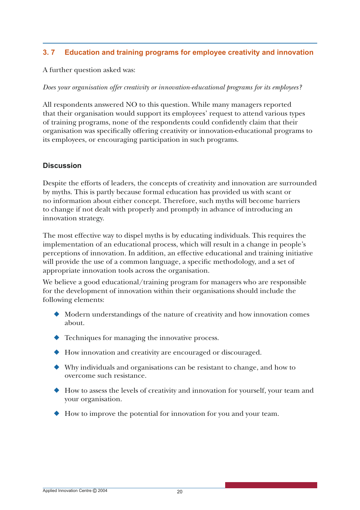#### **3. 7 Education and training programs for employee creativity and innovation**

A further question asked was:

*Does your organisation offer creativity or innovation-educational programs for its employees?*

All respondents answered NO to this question. While many managers reported that their organisation would support its employees' request to attend various types of training programs, none of the respondents could confidently claim that their organisation was specifically offering creativity or innovation-educational programs to its employees, or encouraging participation in such programs.

#### **Discussion**

Despite the efforts of leaders, the concepts of creativity and innovation are surrounded by myths. This is partly because formal education has provided us with scant or no information about either concept. Therefore, such myths will become barriers to change if not dealt with properly and promptly in advance of introducing an innovation strategy.

The most effective way to dispel myths is by educating individuals. This requires the implementation of an educational process, which will result in a change in people's perceptions of innovation. In addition, an effective educational and training initiative will provide the use of a common language, a specific methodology, and a set of appropriate innovation tools across the organisation.

We believe a good educational/training program for managers who are responsible for the development of innovation within their organisations should include the following elements:

- ◆ Modern understandings of the nature of creativity and how innovation comes about.
- ◆ Techniques for managing the innovative process.
- ◆ How innovation and creativity are encouraged or discouraged.
- ◆ Why individuals and organisations can be resistant to change, and how to overcome such resistance.
- ◆ How to assess the levels of creativity and innovation for yourself, your team and your organisation.
- ◆ How to improve the potential for innovation for you and your team.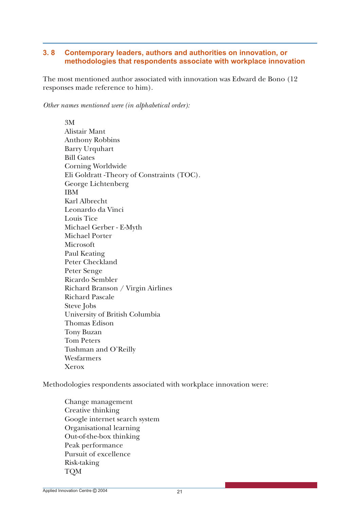#### **3. 8 Contemporary leaders, authors and authorities on innovation, or methodologies that respondents associate with workplace innovation**

The most mentioned author associated with innovation was Edward de Bono (12 responses made reference to him).

*Other names mentioned were (in alphabetical order):*

3M Alistair Mant Anthony Robbins Barry Urquhart Bill Gates Corning Worldwide Eli Goldratt -Theory of Constraints (TOC). George Lichtenberg IBM Karl Albrecht Leonardo da Vinci Louis Tice Michael Gerber - E-Myth Michael Porter Microsoft Paul Keating Peter Checkland Peter Senge Ricardo Sembler Richard Branson / Virgin Airlines Richard Pascale Steve Jobs University of British Columbia Thomas Edison Tony Buzan Tom Peters Tushman and O'Reilly Wesfarmers Xerox

Methodologies respondents associated with workplace innovation were:

Change management Creative thinking Google internet search system Organisational learning Out-of-the-box thinking Peak performance Pursuit of excellence Risk-taking TQM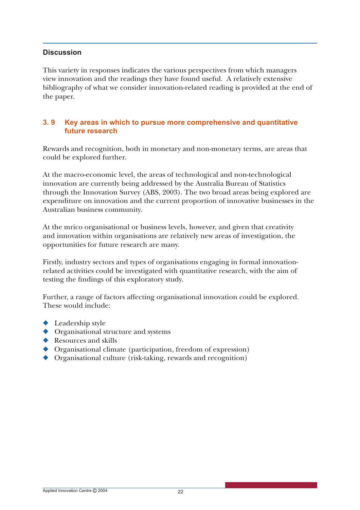#### **Discussion**

This variety in responses indicates the various perspectives from which managers view innovation and the readings they have found useful. A relatively extensive bibliography of what we consider innovation-related reading is provided at the end of the paper.

#### **3. 9 Key areas in which to pursue more comprehensive and quantitative future research**

Rewards and recognition, both in monetary and non-monetary terms, are areas that could be explored further.

At the macro-economic level, the areas of technological and non-technological innovation are currently being addressed by the Australia Bureau of Statistics through the Innovation Survey (ABS, 2003). The two broad areas being explored are expenditure on innovation and the current proportion of innovative businesses in the Australian business community.

At the mrico organisational or business levels, however, and given that creativity and innovation within organisations are relatively new areas of investigation, the opportunities for future research are many.

Firstly, industry sectors and types of organisations engaging in formal innovationrelated activities could be investigated with quantitative research, with the aim of testing the findings of this exploratory study.

Further, a range of factors affecting organisational innovation could be explored. These would include:

- ◆ Leadership style
- ◆ Organisational structure and systems
- ◆ Resources and skills
- ◆ Organisational climate (participation, freedom of expression)
- ◆ Organisational culture (risk-taking, rewards and recognition)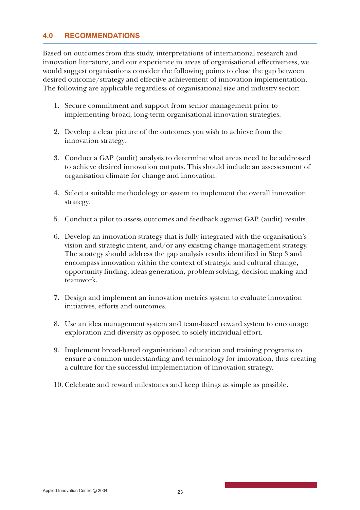#### **4.0 RECOMMENDATIONS**

Based on outcomes from this study, interpretations of international research and innovation literature, and our experience in areas of organisational effectiveness, we would suggest organisations consider the following points to close the gap between desired outcome/strategy and effective achievement of innovation implementation. The following are applicable regardless of organisational size and industry sector:

- 1. Secure commitment and support from senior management prior to implementing broad, long-term organisational innovation strategies.
- 2. Develop a clear picture of the outcomes you wish to achieve from the innovation strategy.
- 3. Conduct a GAP (audit) analysis to determine what areas need to be addressed to achieve desired innovation outputs. This should include an assessesment of organisation climate for change and innovation.
- 4. Select a suitable methodology or system to implement the overall innovation strategy.
- 5. Conduct a pilot to assess outcomes and feedback against GAP (audit) results.
- 6. Develop an innovation strategy that is fully integrated with the organisation's vision and strategic intent, and/or any existing change management strategy. The strategy should address the gap analysis results identified in Step 3 and encompass innovation within the context of strategic and cultural change, opportunity-finding, ideas generation, problem-solving, decision-making and teamwork.
- 7. Design and implement an innovation metrics system to evaluate innovation initiatives, efforts and outcomes.
- 8. Use an idea management system and team-based reward system to encourage exploration and diversity as opposed to solely individual effort.
- 9. Implement broad-based organisational education and training programs to ensure a common understanding and terminology for innovation, thus creating a culture for the successful implementation of innovation strategy.
- 10. Celebrate and reward milestones and keep things as simple as possible.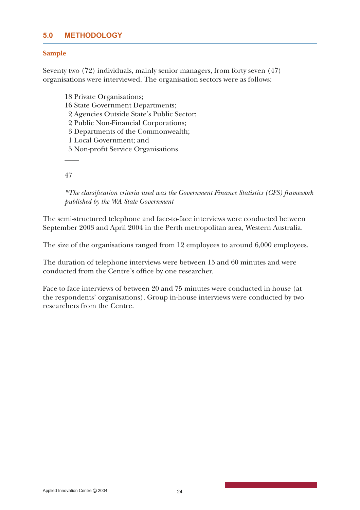#### **5.0 METHODOLOGY**

#### **Sample**

Seventy two (72) individuals, mainly senior managers, from forty seven (47) organisations were interviewed. The organisation sectors were as follows:

18 Private Organisations; 16 State Government Departments;

2 Agencies Outside State's Public Sector;

2 Public Non-Financial Corporations;

3 Departments of the Commonwealth;

1 Local Government; and

5 Non-profit Service Organisations

47

\_\_\_\_

*\*The classifi cation criteria used was the Government Finance Statistics (GFS) framework published by the WA State Government*

The semi-structured telephone and face-to-face interviews were conducted between September 2003 and April 2004 in the Perth metropolitan area, Western Australia.

The size of the organisations ranged from 12 employees to around 6,000 employees.

The duration of telephone interviews were between 15 and 60 minutes and were conducted from the Centre's office by one researcher.

Face-to-face interviews of between 20 and 75 minutes were conducted in-house (at the respondents' organisations). Group in-house interviews were conducted by two researchers from the Centre.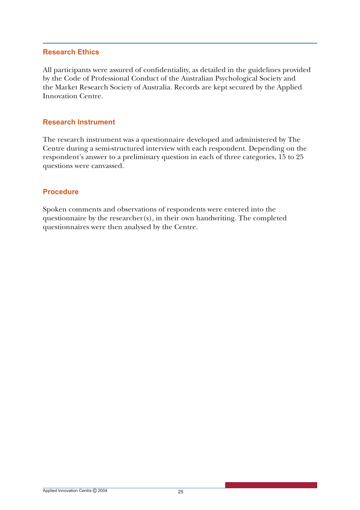#### **Research Ethics**

All participants were assured of confidentiality, as detailed in the guidelines provided by the Code of Professional Conduct of the Australian Psychological Society and the Market Research Society of Australia. Records are kept secured by the Applied Innovation Centre.

#### **Research Instrument**

The research instrument was a questionnaire developed and administered by The Centre during a semi-structured interview with each respondent. Depending on the respondent's answer to a preliminary question in each of three categories, 15 to 25 questions were canvassed.

#### **Procedure**

Spoken comments and observations of respondents were entered into the questionnaire by the researcher(s), in their own handwriting. The completed questionnaires were then analysed by the Centre.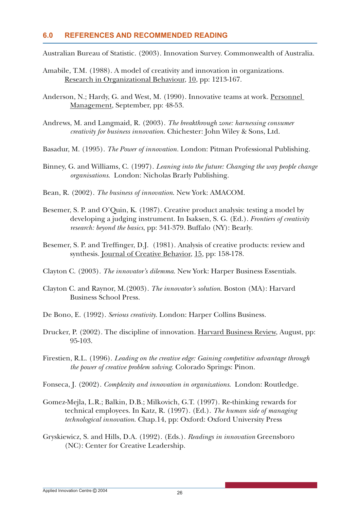#### **6.0 REFERENCES AND RECOMMENDED READING**

Australian Bureau of Statistic. (2003). Innovation Survey. Commonwealth of Australia.

- Amabile, T.M. (1988). A model of creativity and innovation in organizations. Research in Organizational Behaviour, 10, pp: 1213-167.
- Anderson, N.; Hardy, G. and West, M. (1990). Innovative teams at work. Personnel Management, September, pp: 48-53.
- Andrews, M. and Langmaid, R. (2003). *The breakthrough zone: harnessing consumer creativity for business innovation*. Chichester: John Wiley & Sons, Ltd.
- Basadur, M. (1995). *The Power of innovation.* London: Pitman Professional Publishing.
- Binney, G. and Williams, C. (1997). *Leaning into the future: Changing the way people change organisations*. London: Nicholas Brarly Publishing.
- Bean, R. (2002). *The business of innovation*. New York: AMACOM.
- Besemer, S. P. and O'Quin, K. (1987). Creative product analysis: testing a model by developing a judging instrument. In Isaksen, S. G. (Ed.). *Frontiers of creativity research: beyond the basics*, pp: 341-379. Buffalo (NY): Bearly.
- Besemer, S. P. and Treffinger, D.J. (1981). Analysis of creative products: review and synthesis. Journal of Creative Behavior, 15, pp: 158-178.
- Clayton C. (2003). *The innovator's dilemma*. New York: Harper Business Essentials.
- Clayton C. and Raynor, M.(2003). *The innovator's solution*. Boston (MA): Harvard Business School Press.
- De Bono, E. (1992). *Serious creativity*. London: Harper Collins Business.
- Drucker, P. (2002). The discipline of innovation. Harvard Business Review, August, pp: 95-103.
- Firestien, R.L. (1996). *Leading on the creative edge: Gaining competitive advantage through the power of creative problem solving*. Colorado Springs: Pinon.
- Fonseca, J. (2002). *Complexity and innovation in organizations*. London: Routledge.
- Gomez-Mejla, L.R.; Balkin, D.B.; Milkovich, G.T. (1997). Re-thinking rewards for technical employees. In Katz, R. (1997). (Ed.). *The human side of managing technological innovation*. Chap.14, pp: Oxford: Oxford University Press
- Gryskiewicz, S. and Hills, D.A. (1992). (Eds.). *Readings in innovation* Greensboro (NC): Center for Creative Leadership.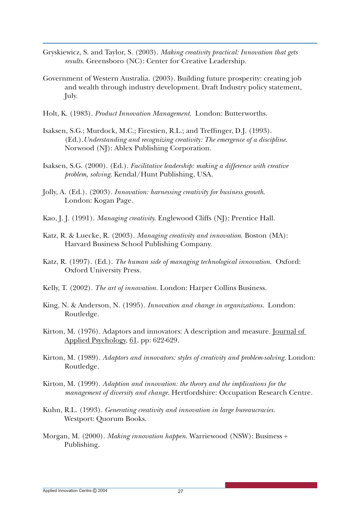- Gryskiewicz, S. and Taylor, S. (2003). *Making creativity practical: Innovation that gets results.* Greensboro (NC): Center for Creative Leadership.
- Government of Western Australia. (2003). Building future prosperity: creating job and wealth through industry development. Draft Industry policy statement, July.
- Holt, K. (1983). *Product Innovation Management*. London: Butterworths.
- Isaksen, S.G.; Murdock, M.C.; Firestien, R.L.; and Treffinger, D.J. (1993). (Ed.).*Understanding and recognizing creativity: The emergence of a discipline*. Norwood (NJ): Ablex Publishing Corporation.
- Isaksen, S.G. (2000). (Ed.). *Facilitative leadership: making a difference with creative problem, solving*. Kendal/Hunt Publishing, USA.
- Jolly, A. (Ed.). (2003). *Innovation: harnessing creativity for business growth*. London: Kogan Page.
- Kao, J. J. (1991). *Managing creativity*. Englewood Cliffs (NJ): Prentice Hall.
- Katz, R. & Luecke, R. (2003). *Managing creativity and innovation*. Boston (MA): Harvard Business School Publishing Company.
- Katz, R. (1997). (Ed.). *The human side of managing technological innovation*. Oxford: Oxford University Press.
- Kelly, T. (2002). *The art of innovation.* London: Harper Collins Business.
- King, N. & Anderson, N. (1995). *Innovation and change in organizations*. London: Routledge.
- Kirton, M. (1976). Adaptors and innovators: A description and measure. Journal of Applied Psychology, 61, pp: 622-629.
- Kirton, M. (1989). *Adaptors and innovators: styles of creativity and problem-solving.* London: Routledge.
- Kirton, M. (1999). *Adaption and innovation: the theory and the implications for the management of diversity and change.* Hertfordshire: Occupation Research Centre.
- Kuhn, R.L. (1993). *Generating creativity and innovation in large bureaucracies.* Westport: Quorum Books.
- Morgan, M. (2000). *Making innovation happen*. Warriewood (NSW): Business + Publishing.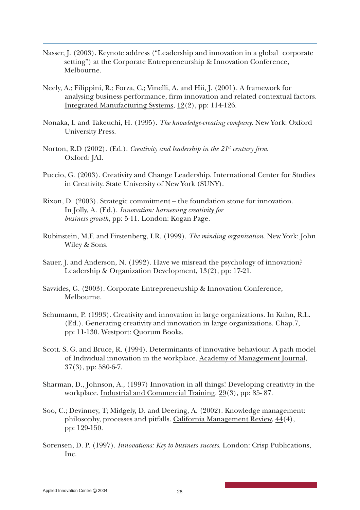- Nasser, J. (2003). Keynote address ("Leadership and innovation in a global corporate setting") at the Corporate Entrepreneurship & Innovation Conference, Melbourne.
- Neely, A.; Filippini, R.; Forza, C.; Vinelli, A. and Hii, J. (2001). A framework for analysing business performance, firm innovation and related contextual factors. Integrated Manufacturing Systems, 12(2), pp: 114-126.
- Nonaka, I. and Takeuchi, H. (1995). *The knowledge-creating company*. New York: Oxford University Press.
- Norton, R.D (2002). (Ed.). *Creativity and leadership in the 21<sup>st</sup> century firm.* Oxford: JAI.
- Puccio, G. (2003). Creativity and Change Leadership. International Center for Studies in Creativity. State University of New York (SUNY).
- Rixon, D. (2003). Strategic commitment the foundation stone for innovation. In Jolly, A. (Ed.). *Innovation: harnessing creativity for business growth*, pp: 5-11*.* London: Kogan Page.
- Rubinstein, M.F. and Firstenberg, I.R. (1999). *The minding organization*. New York: John Wiley & Sons.
- Sauer, J. and Anderson, N. (1992). Have we misread the psychology of innovation? Leadership & Organization Development, 13(2), pp: 17-21.
- Savvides, G. (2003). Corporate Entrepreneurship & Innovation Conference, Melbourne.
- Schumann, P. (1993). Creativity and innovation in large organizations. In Kuhn, R.L. (Ed.). Generating creativity and innovation in large organizations. Chap.7, pp: 11-130. Westport: Quorum Books.
- Scott. S. G. and Bruce, R. (1994). Determinants of innovative behaviour: A path model of Individual innovation in the workplace. Academy of Management Journal,  $37(3)$ , pp: 580-6-7.
- Sharman, D., Johnson, A., (1997) Innovation in all things! Developing creativity in the workplace. Industrial and Commercial Training. 29(3), pp: 85- 87.
- Soo, C.; Devinney, T; Midgely, D. and Deering, A. (2002). Knowledge management: philosophy, processes and pitfalls. California Management Review, 44(4), pp: 129-150.
- Sorensen, D. P. (1997). *Innovations: Key to business success*. London: Crisp Publications, Inc.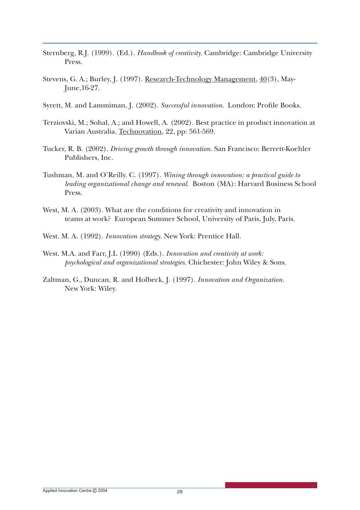- Sternberg, R.J. (1999). (Ed.). *Handbook of creativity*. Cambridge: Cambridge University Press.
- Stevens, G. A.; Burley, J. (1997). Research-Technology Management, 40(3), May-June,16-27.
- Syrett, M. and Lammiman, J. (2002). *Successful innovation*. London: Profile Books.
- Terziovski, M.; Sohal, A.; and Howell, A. (2002). Best practice in product innovation at Varian Australia. Technovation, 22, pp: 561-569.
- Tucker, R. B. (2002). *Driving growth through innovation*. San Francisco: Berrett-Koehler Publishers, Inc.
- Tushman, M. and O'Reilly. C. (1997). *Wining through innovation: a practical guide to leading organizational change and renewal*. Boston (MA): Harvard Business School Press.
- West, M. A. (2003). What are the conditions for creativity and innovation in teams at work? European Summer School, University of Paris, July, Paris.
- West. M. A. (1992). *Innovation strategy*. New York: Prentice Hall.
- West. M.A. and Farr, J.L (1990) (Eds.). *Innovation and creativity at work: psychological and organizational strategies*. Chichester: John Wiley & Sons.
- Zaltman, G., Duncan, R. and Holbeck, J. (1997). *Innovation and Organization.* New York: Wiley.